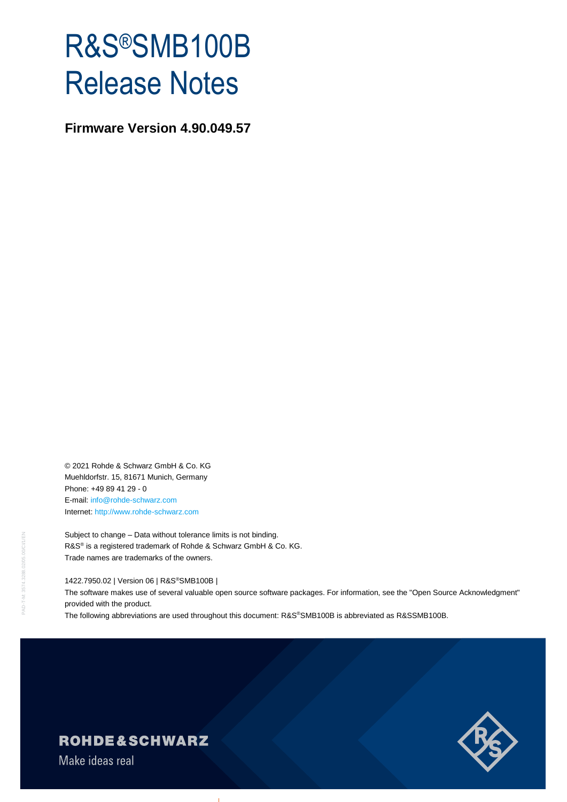# R&S®SMB100B Release Notes

**Firmware Version 4.90.049.57**

© 2021 Rohde & Schwarz GmbH & Co. KG Muehldorfstr. 15, 81671 Munich, Germany Phone: +49 89 41 29 - 0 E-mail: [info@rohde-schwarz.com](mailto:info@rohde-schwarz.com) Internet[: http://www.rohde-schwarz.com](http://www.rohde-schwarz.com/)

Subject to change – Data without tolerance limits is not binding. R&S<sup>®</sup> is a registered trademark of Rohde & Schwarz GmbH & Co. KG. Trade names are trademarks of the owners.

1422.7950.02 | Version 06 | R&S®SMB100B |

The software makes use of several valuable open source software packages. For information, see the "Open Source Acknowledgment" provided with the product.

The following abbreviations are used throughout this document: R&S®SMB100B is abbreviated as R&SSMB100B.



## **ROHDE&SCHWARZ**

Make ideas real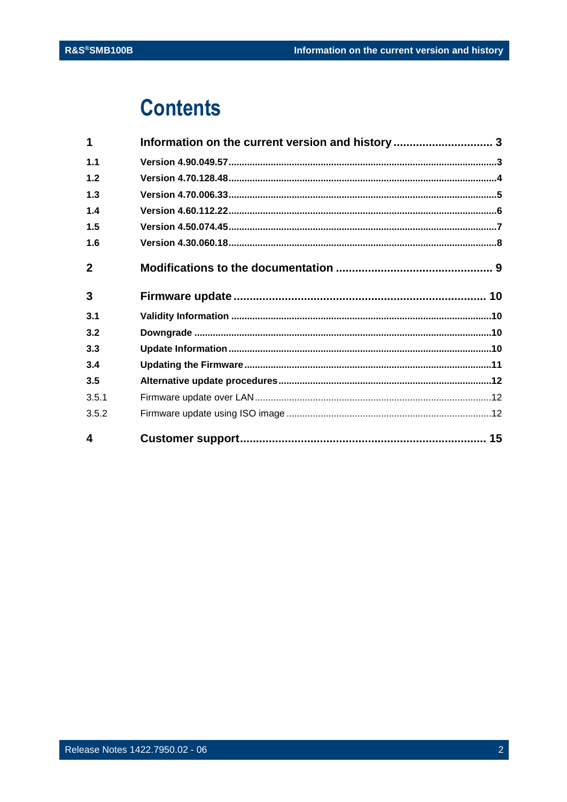## **Contents**

| 4            |                                                  |  |
|--------------|--------------------------------------------------|--|
| 3.5.2        |                                                  |  |
| 3.5.1        |                                                  |  |
| 3.5          |                                                  |  |
| 3.4          |                                                  |  |
| 3.3          |                                                  |  |
| 3.2          |                                                  |  |
| 3.1          |                                                  |  |
| 3            |                                                  |  |
| $\mathbf{2}$ |                                                  |  |
| 1.6          |                                                  |  |
| 1.5          |                                                  |  |
| 1.4          |                                                  |  |
| 1.3          |                                                  |  |
| 1.2          |                                                  |  |
| 1.1          |                                                  |  |
| 1            | Information on the current version and history 3 |  |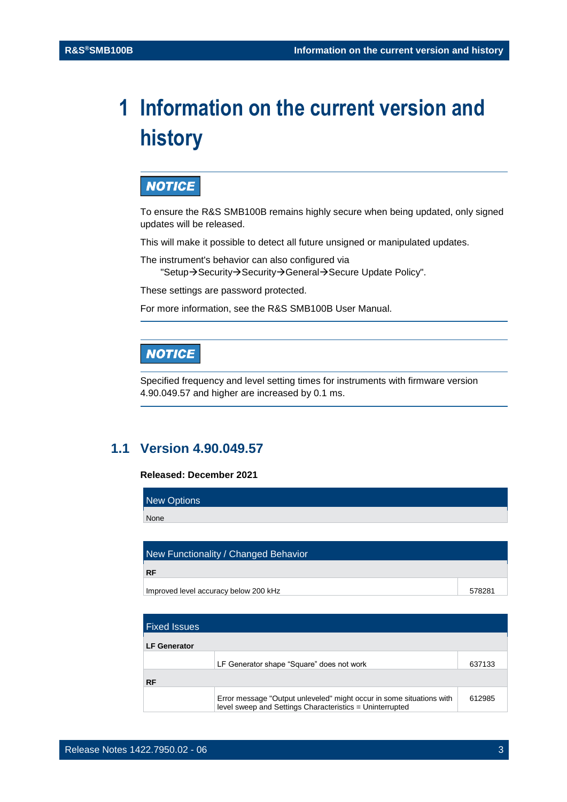## <span id="page-2-0"></span>**1 Information on the current version and history**

## **NOTICE**

To ensure the R&S SMB100B remains highly secure when being updated, only signed updates will be released.

This will make it possible to detect all future unsigned or manipulated updates.

The instrument's behavior can also configured via

"Setup→Security→Security→General→Secure Update Policy".

These settings are password protected.

For more information, see the R&S SMB100B User Manual.

## **NOTICE**

Specified frequency and level setting times for instruments with firmware version 4.90.049.57 and higher are increased by 0.1 ms.

## <span id="page-2-1"></span>**1.1 Version 4.90.049.57**

#### **Released: December 2021**

| New Options |
|-------------|
| None        |
|             |

| New Functionality / Changed Behavior  |        |
|---------------------------------------|--------|
| <b>RF</b>                             |        |
| Improved level accuracy below 200 kHz | 578281 |

| <b>Fixed Issues</b> |                                                                                                                                  |        |
|---------------------|----------------------------------------------------------------------------------------------------------------------------------|--------|
| <b>LF Generator</b> |                                                                                                                                  |        |
|                     | LF Generator shape "Square" does not work                                                                                        | 637133 |
| <b>RF</b>           |                                                                                                                                  |        |
|                     | Error message "Output unleveled" might occur in some situations with<br>level sweep and Settings Characteristics = Uninterrupted | 612985 |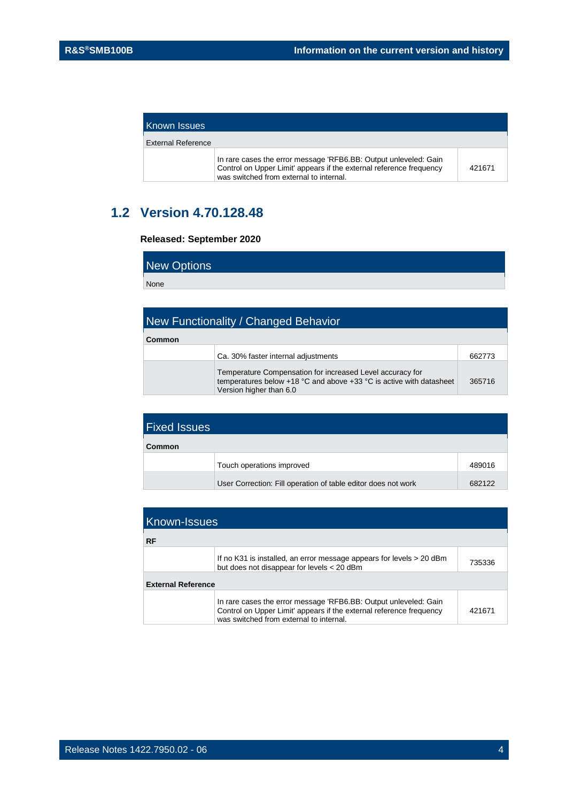| Known Issues       |                                                                                                                                                                                    |        |
|--------------------|------------------------------------------------------------------------------------------------------------------------------------------------------------------------------------|--------|
| External Reference |                                                                                                                                                                                    |        |
|                    | In rare cases the error message 'RFB6.BB: Output unleveled: Gain<br>Control on Upper Limit' appears if the external reference frequency<br>was switched from external to internal. | 421671 |

## <span id="page-3-0"></span>**1.2 Version 4.70.128.48**

#### **Released: September 2020**

New Options

None

| New Functionality / Changed Behavior |                                                                                                                                                                                 |        |
|--------------------------------------|---------------------------------------------------------------------------------------------------------------------------------------------------------------------------------|--------|
| Common                               |                                                                                                                                                                                 |        |
|                                      | Ca. 30% faster internal adjustments                                                                                                                                             | 662773 |
|                                      | Temperature Compensation for increased Level accuracy for<br>temperatures below +18 $^{\circ}$ C and above +33 $^{\circ}$ C is active with datasheet<br>Version higher than 6.0 | 365716 |

| <b>Fixed Issues</b> |                                                               |        |
|---------------------|---------------------------------------------------------------|--------|
| Common              |                                                               |        |
|                     | Touch operations improved                                     | 489016 |
|                     | User Correction: Fill operation of table editor does not work | 682122 |

| <b>Known-Issues</b><br><b>RF</b> |                                                                                                                                                                                    |        |
|----------------------------------|------------------------------------------------------------------------------------------------------------------------------------------------------------------------------------|--------|
|                                  | If no K31 is installed, an error message appears for levels > 20 dBm<br>but does not disappear for levels < 20 dBm                                                                 | 735336 |
| <b>External Reference</b>        |                                                                                                                                                                                    |        |
|                                  | In rare cases the error message 'RFB6.BB: Output unleveled: Gain<br>Control on Upper Limit' appears if the external reference frequency<br>was switched from external to internal. | 421671 |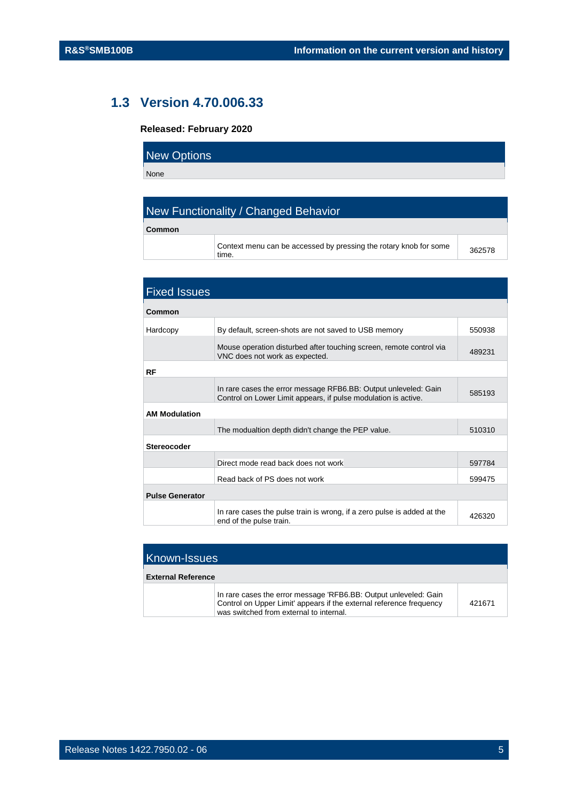## <span id="page-4-0"></span>**1.3 Version 4.70.006.33**

#### **Released: February 2020**

| New Options |  |  |
|-------------|--|--|
| None        |  |  |

## New Functionality / Changed Behavior

| Common |  |
|--------|--|
|        |  |

Context menu can be accessed by pressing the rotary knob for some time. <sup>362578</sup>

| <b>Fixed Issues</b>    |                                                                                                                                   |        |
|------------------------|-----------------------------------------------------------------------------------------------------------------------------------|--------|
| Common                 |                                                                                                                                   |        |
| Hardcopy               | By default, screen-shots are not saved to USB memory                                                                              | 550938 |
|                        | Mouse operation disturbed after touching screen, remote control via<br>VNC does not work as expected.                             | 489231 |
| RF                     |                                                                                                                                   |        |
|                        | In rare cases the error message RFB6.BB: Output unleveled: Gain<br>Control on Lower Limit appears, if pulse modulation is active. | 585193 |
| <b>AM Modulation</b>   |                                                                                                                                   |        |
|                        | The modualtion depth didn't change the PEP value.                                                                                 | 510310 |
| <b>Stereocoder</b>     |                                                                                                                                   |        |
|                        | Direct mode read back does not work                                                                                               | 597784 |
|                        | Read back of PS does not work                                                                                                     | 599475 |
| <b>Pulse Generator</b> |                                                                                                                                   |        |
|                        | In rare cases the pulse train is wrong, if a zero pulse is added at the<br>end of the pulse train.                                | 426320 |

| <b>Known-Issues</b>       |                                                                                                                                                                                    |        |
|---------------------------|------------------------------------------------------------------------------------------------------------------------------------------------------------------------------------|--------|
| <b>External Reference</b> |                                                                                                                                                                                    |        |
|                           | In rare cases the error message 'RFB6.BB: Output unleveled: Gain<br>Control on Upper Limit' appears if the external reference frequency<br>was switched from external to internal. | 421671 |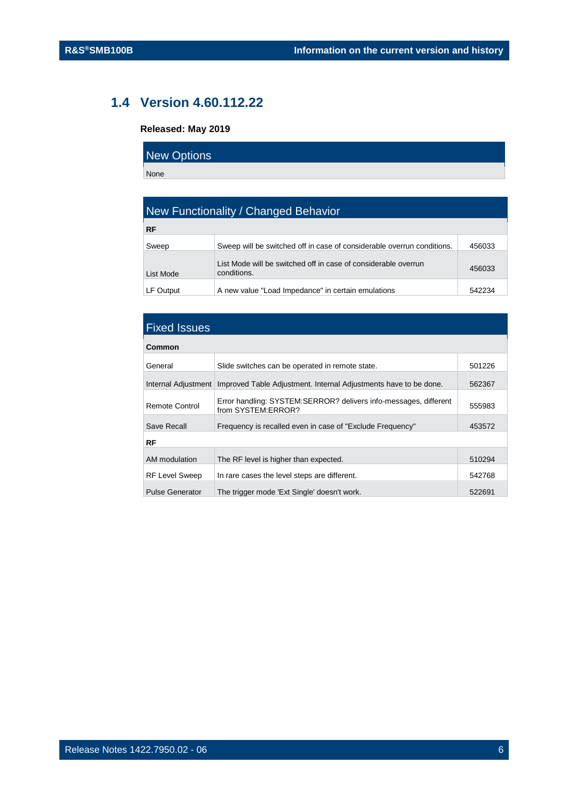## **1.4 Version 4.60.112.22**

## <span id="page-5-0"></span>**Released: May 2019**

| New Options |  |
|-------------|--|
| None        |  |

| New Functionality / Changed Behavior |                                                                               |        |
|--------------------------------------|-------------------------------------------------------------------------------|--------|
| <b>RF</b>                            |                                                                               |        |
| Sweep                                | Sweep will be switched off in case of considerable overrun conditions.        | 456033 |
| List Mode                            | List Mode will be switched off in case of considerable overrun<br>conditions. | 456033 |
| LF Output                            | A new value "Load Impedance" in certain emulations                            | 542234 |

| <b>Fixed Issues</b>    |                                                                                        |        |
|------------------------|----------------------------------------------------------------------------------------|--------|
| Common                 |                                                                                        |        |
| General                | Slide switches can be operated in remote state.                                        | 501226 |
| Internal Adjustment    | Improved Table Adjustment. Internal Adjustments have to be done.                       | 562367 |
| Remote Control         | Error handling: SYSTEM:SERROR? delivers info-messages, different<br>from SYSTEM:ERROR? | 555983 |
| Save Recall            | Frequency is recalled even in case of "Exclude Frequency"                              | 453572 |
| RF                     |                                                                                        |        |
| AM modulation          | The RF level is higher than expected.                                                  | 510294 |
| <b>RF Level Sweep</b>  | In rare cases the level steps are different.                                           | 542768 |
| <b>Pulse Generator</b> | The trigger mode 'Ext Single' doesn't work.                                            | 522691 |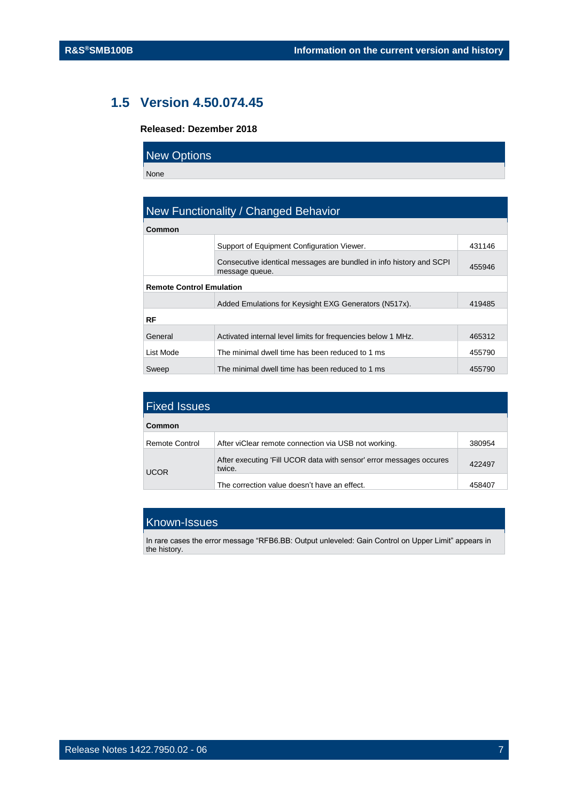## **1.5 Version 4.50.074.45**

### <span id="page-6-0"></span>**Released: Dezember 2018**

| <b>New Options</b> |  |
|--------------------|--|
| None               |  |

| New Functionality / Changed Behavior |                                                                                       |        |
|--------------------------------------|---------------------------------------------------------------------------------------|--------|
| Common                               |                                                                                       |        |
|                                      | Support of Equipment Configuration Viewer.                                            | 431146 |
|                                      | Consecutive identical messages are bundled in info history and SCPI<br>message queue. | 455946 |
| <b>Remote Control Emulation</b>      |                                                                                       |        |
|                                      | Added Emulations for Keysight EXG Generators (N517x).                                 | 419485 |
| RF                                   |                                                                                       |        |
| General                              | Activated internal level limits for frequencies below 1 MHz.                          | 465312 |
| List Mode                            | The minimal dwell time has been reduced to 1 ms                                       | 455790 |
| Sweep                                | The minimal dwell time has been reduced to 1 ms                                       | 455790 |

| <b>Fixed Issues</b> |                                                                               |        |
|---------------------|-------------------------------------------------------------------------------|--------|
| Common              |                                                                               |        |
| Remote Control      | After viClear remote connection via USB not working.                          | 380954 |
| <b>UCOR</b>         | After executing 'Fill UCOR data with sensor' error messages occures<br>twice. | 422497 |
|                     | The correction value doesn't have an effect.                                  | 45840  |

## Known-Issues

In rare cases the error message "RFB6.BB: Output unleveled: Gain Control on Upper Limit" appears in the history.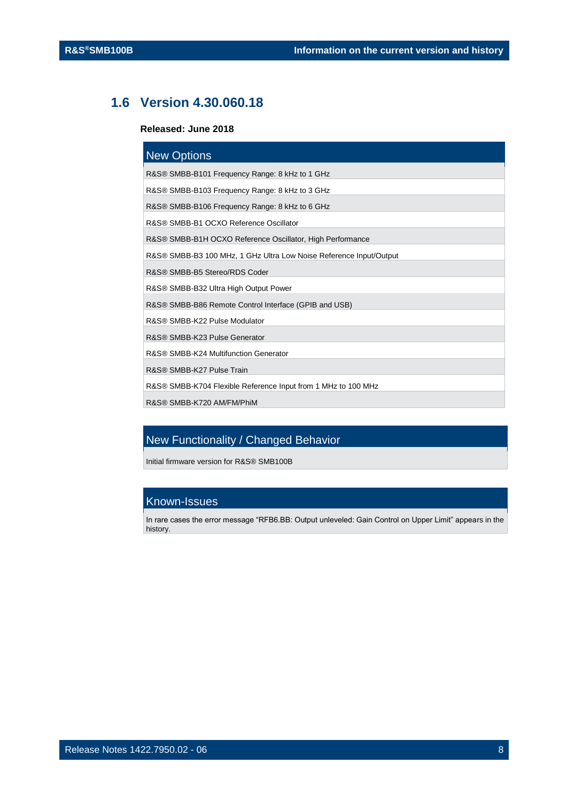## <span id="page-7-0"></span>**1.6 Version 4.30.060.18**

#### **Released: June 2018**

| <b>New Options</b>                                                 |
|--------------------------------------------------------------------|
| R&S® SMBB-B101 Frequency Range: 8 kHz to 1 GHz                     |
| R&S® SMBB-B103 Frequency Range: 8 kHz to 3 GHz                     |
| R&S® SMBB-B106 Frequency Range: 8 kHz to 6 GHz                     |
| R&S® SMBB-B1 OCXO Reference Oscillator                             |
| R&S® SMBB-B1H OCXO Reference Oscillator, High Performance          |
| R&S® SMBB-B3 100 MHz, 1 GHz Ultra Low Noise Reference Input/Output |
| R&S® SMBB-B5 Stereo/RDS Coder                                      |
| R&S® SMBB-B32 Ultra High Output Power                              |
| R&S® SMBB-B86 Remote Control Interface (GPIB and USB)              |
| R&S® SMBB-K22 Pulse Modulator                                      |
| R&S® SMBB-K23 Pulse Generator                                      |
| R&S® SMBB-K24 Multifunction Generator                              |
| R&S® SMBB-K27 Pulse Train                                          |
| R&S® SMBB-K704 Flexible Reference Input from 1 MHz to 100 MHz      |
| R&S® SMBB-K720 AM/FM/PhiM                                          |

## **New Functionality / Changed Behavior**

Initial firmware version for R&S® SMB100B

## Known-Issues

In rare cases the error message "RFB6.BB: Output unleveled: Gain Control on Upper Limit" appears in the history.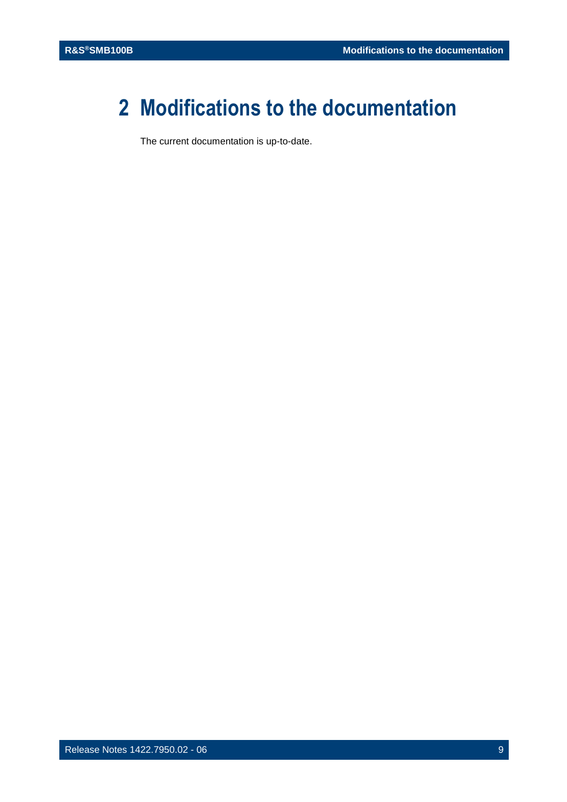## <span id="page-8-0"></span>**2 Modifications to the documentation**

The current documentation is up-to-date.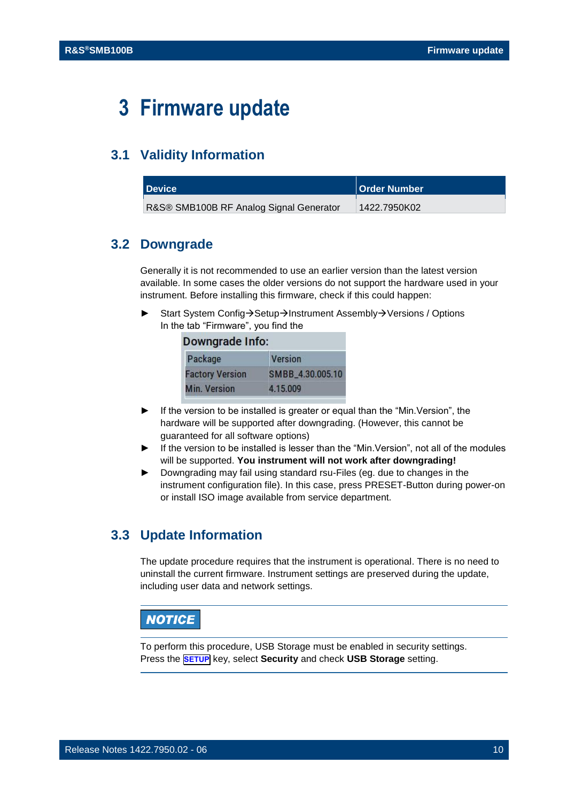## <span id="page-9-0"></span>**3 Firmware update**

## <span id="page-9-1"></span>**3.1 Validity Information**

<span id="page-9-2"></span>

| <b>Device</b>                           | <b>Order Number</b> |
|-----------------------------------------|---------------------|
| R&S® SMB100B RF Analog Signal Generator | 1422.7950K02        |

## **3.2 Downgrade**

Generally it is not recommended to use an earlier version than the latest version available. In some cases the older versions do not support the hardware used in your instrument. Before installing this firmware, check if this could happen:

Start System Config→Setup→Instrument Assembly→Versions / Options In the tab "Firmware", you find the

| Downgrade Info:        |                  |  |
|------------------------|------------------|--|
| Package                | <b>Version</b>   |  |
| <b>Factory Version</b> | SMBB_4.30.005.10 |  |
| <b>Min. Version</b>    | 4.15.009         |  |

- If the version to be installed is greater or equal than the "Min. Version", the hardware will be supported after downgrading. (However, this cannot be guaranteed for all software options)
- ► If the version to be installed is lesser than the "Min.Version", not all of the modules will be supported. **You instrument will not work after downgrading!**
- ► Downgrading may fail using standard rsu-Files (eg. due to changes in the instrument configuration file). In this case, press PRESET-Button during power-on or install ISO image available from service department.

## <span id="page-9-3"></span>**3.3 Update Information**

The update procedure requires that the instrument is operational. There is no need to uninstall the current firmware. Instrument settings are preserved during the update, including user data and network settings.

## **NOTICE**

To perform this procedure, USB Storage must be enabled in security settings. Press the **SETUP** key, select **Security** and check **USB Storage** setting.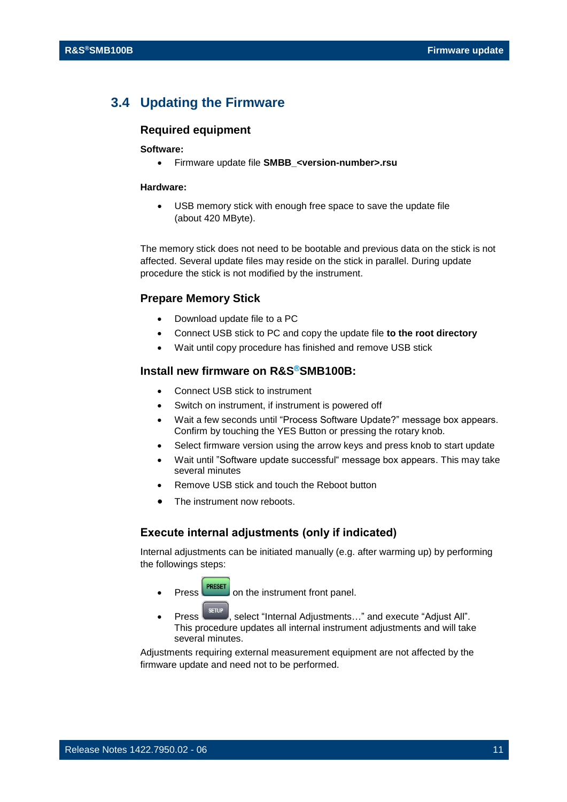## <span id="page-10-0"></span>**3.4 Updating the Firmware**

## **Required equipment**

#### **Software:**

• Firmware update file **SMBB\_<version-number>.rsu**

#### **Hardware:**

USB memory stick with enough free space to save the update file (about 420 MByte).

The memory stick does not need to be bootable and previous data on the stick is not affected. Several update files may reside on the stick in parallel. During update procedure the stick is not modified by the instrument.

#### **Prepare Memory Stick**

- Download update file to a PC
- Connect USB stick to PC and copy the update file **to the root directory**
- Wait until copy procedure has finished and remove USB stick

### **Install new firmware on R&S®SMB100B:**

- Connect USB stick to instrument
- Switch on instrument, if instrument is powered off
- Wait a few seconds until "Process Software Update?" message box appears. Confirm by touching the YES Button or pressing the rotary knob.
- Select firmware version using the arrow keys and press knob to start update
- Wait until "Software update successful" message box appears. This may take several minutes
- Remove USB stick and touch the Reboot button
- The instrument now reboots.

#### **Execute internal adjustments (only if indicated)**

Internal adjustments can be initiated manually (e.g. after warming up) by performing the followings steps:

- **Press PRESET** on the instrument front panel.
- **Press**  $\left\lceil \frac{\text{error}}{\text{error}} \right\rceil$ , select "Internal Adjustments..." and execute "Adjust All". This procedure updates all internal instrument adjustments and will take several minutes.

Adjustments requiring external measurement equipment are not affected by the firmware update and need not to be performed.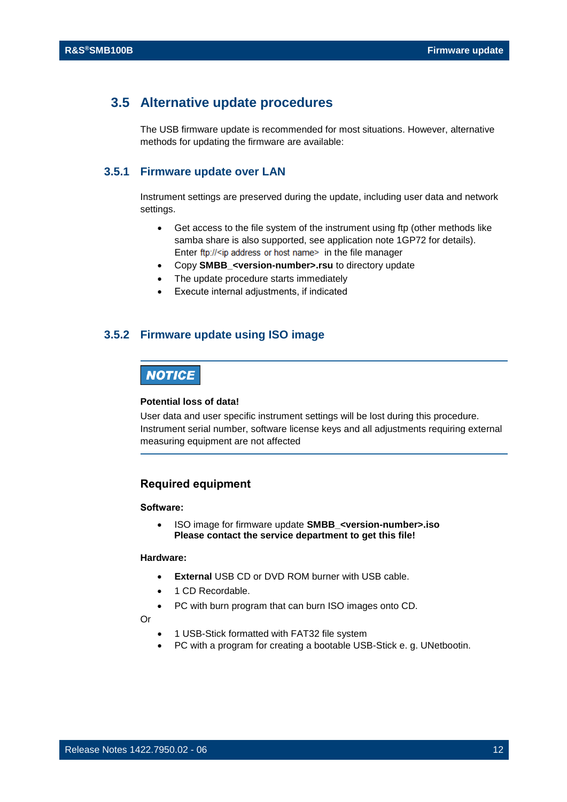## <span id="page-11-0"></span>**3.5 Alternative update procedures**

<span id="page-11-1"></span>The USB firmware update is recommended for most situations. However, alternative methods for updating the firmware are available:

## **3.5.1 Firmware update over LAN**

Instrument settings are preserved during the update, including user data and network settings.

- Get access to the file system of the instrument using ftp (other methods like samba share is also supported, see application note 1GP72 for details). Enter ftp://<ip address or host name>in the file manager
- Copy **SMBB\_<version-number>.rsu** to directory update
- The update procedure starts immediately
- <span id="page-11-2"></span>• Execute internal adjustments, if indicated

### **3.5.2 Firmware update using ISO image**

## **NOTICE**

#### **Potential loss of data!**

User data and user specific instrument settings will be lost during this procedure. Instrument serial number, software license keys and all adjustments requiring external measuring equipment are not affected

### **Required equipment**

#### **Software:**

• ISO image for firmware update **SMBB\_<version-number>.iso Please contact the service department to get this file!**

#### **Hardware:**

- **External** USB CD or DVD ROM burner with USB cable.
- 1 CD Recordable.
- PC with burn program that can burn ISO images onto CD.

Or

- 1 USB-Stick formatted with FAT32 file system
- PC with a program for creating a bootable USB-Stick e. g. UNetbootin.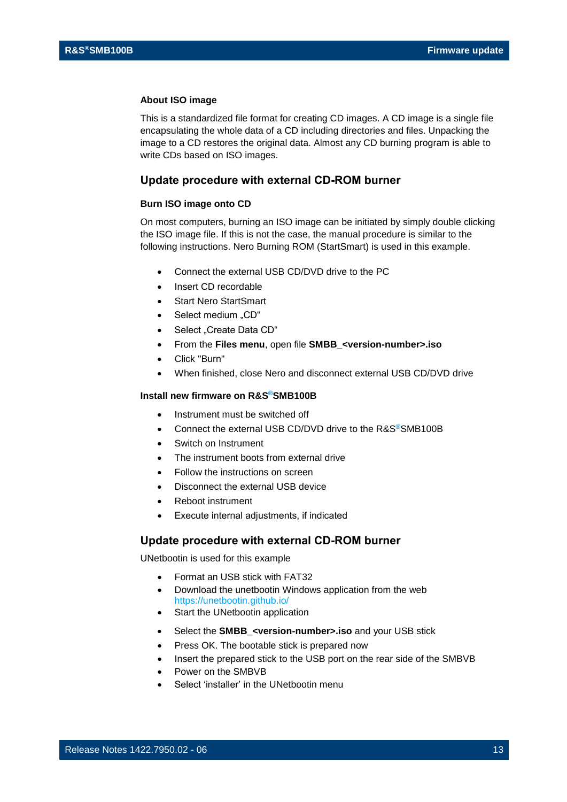#### **About ISO image**

This is a standardized file format for creating CD images. A CD image is a single file encapsulating the whole data of a CD including directories and files. Unpacking the image to a CD restores the original data. Almost any CD burning program is able to write CDs based on ISO images.

#### **Update procedure with external CD-ROM burner**

#### **Burn ISO image onto CD**

On most computers, burning an ISO image can be initiated by simply double clicking the ISO image file. If this is not the case, the manual procedure is similar to the following instructions. Nero Burning ROM (StartSmart) is used in this example.

- Connect the external USB CD/DVD drive to the PC
- Insert CD recordable
- **Start Nero StartSmart**
- Select medium "CD"
- Select "Create Data CD"
- From the **Files menu**, open file **SMBB\_<version-number>.iso**
- Click "Burn"
- When finished, close Nero and disconnect external USB CD/DVD drive

#### **Install new firmware on R&S®SMB100B**

- Instrument must be switched off
- Connect the external USB CD/DVD drive to the R&S®SMB100B
- Switch on Instrument
- The instrument boots from external drive
- Follow the instructions on screen
- Disconnect the external USB device
- Reboot instrument
- Execute internal adjustments, if indicated

#### **Update procedure with external CD-ROM burner**

UNetbootin is used for this example

- Format an USB stick with FAT32
- Download the unetbootin Windows application from the web <https://unetbootin.github.io/>
- Start the UNetbootin application
- Select the **SMBB\_<version-number>.iso** and your USB stick
- Press OK. The bootable stick is prepared now
- Insert the prepared stick to the USB port on the rear side of the SMBVB
- Power on the SMBVB
- Select 'installer' in the UNetbootin menu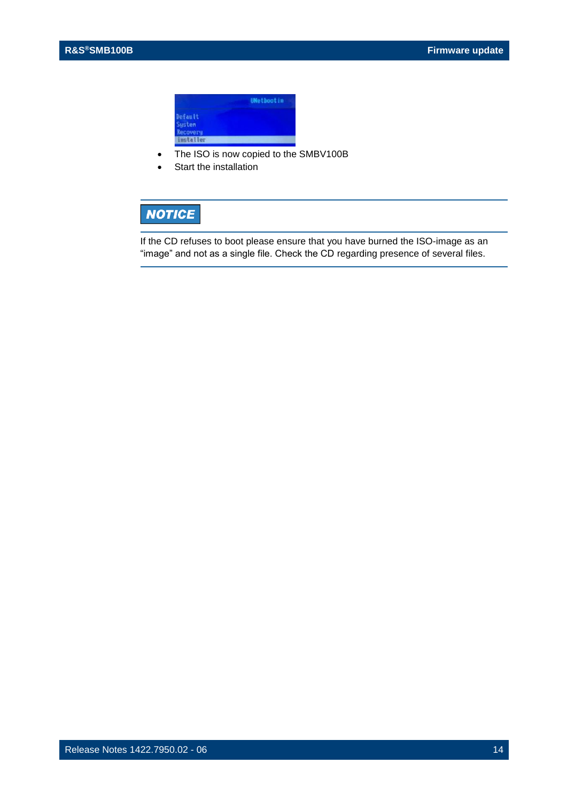

- The ISO is now copied to the SMBV100B
- Start the installation

## **NOTICE**

If the CD refuses to boot please ensure that you have burned the ISO-image as an "image" and not as a single file. Check the CD regarding presence of several files.